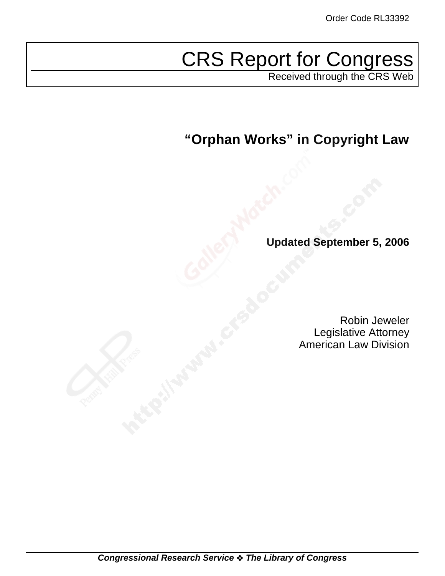# CRS Report for Congress

Received through the CRS Web

**"Orphan Works" in Copyright Law**

**Updated September 5, 2006**

Robin Jeweler Legislative Attorney American Law Division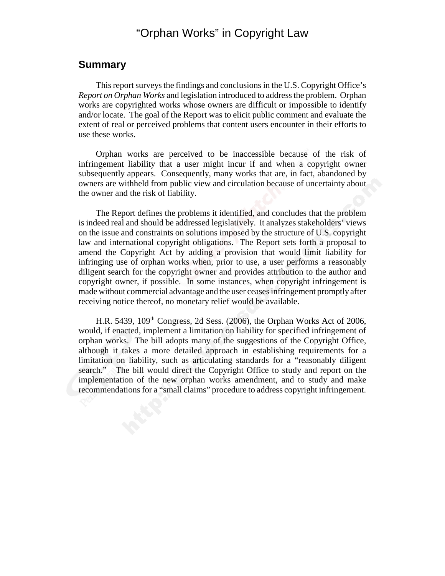# "Orphan Works" in Copyright Law

### **Summary**

This report surveys the findings and conclusions in the U.S. Copyright Office's *Report on Orphan Works* and legislation introduced to address the problem. Orphan works are copyrighted works whose owners are difficult or impossible to identify and/or locate. The goal of the Report was to elicit public comment and evaluate the extent of real or perceived problems that content users encounter in their efforts to use these works.

Orphan works are perceived to be inaccessible because of the risk of infringement liability that a user might incur if and when a copyright owner subsequently appears. Consequently, many works that are, in fact, abandoned by owners are withheld from public view and circulation because of uncertainty about the owner and the risk of liability.

The Report defines the problems it identified, and concludes that the problem is indeed real and should be addressed legislatively. It analyzes stakeholders' views on the issue and constraints on solutions imposed by the structure of U.S. copyright law and international copyright obligations. The Report sets forth a proposal to amend the Copyright Act by adding a provision that would limit liability for infringing use of orphan works when, prior to use, a user performs a reasonably diligent search for the copyright owner and provides attribution to the author and copyright owner, if possible. In some instances, when copyright infringement is made without commercial advantage and the user ceases infringement promptly after receiving notice thereof, no monetary relief would be available.

H.R. 5439, 109<sup>th</sup> Congress, 2d Sess. (2006), the Orphan Works Act of 2006, would, if enacted, implement a limitation on liability for specified infringement of orphan works. The bill adopts many of the suggestions of the Copyright Office, although it takes a more detailed approach in establishing requirements for a limitation on liability, such as articulating standards for a "reasonably diligent search." The bill would direct the Copyright Office to study and report on the implementation of the new orphan works amendment, and to study and make recommendations for a "small claims" procedure to address copyright infringement.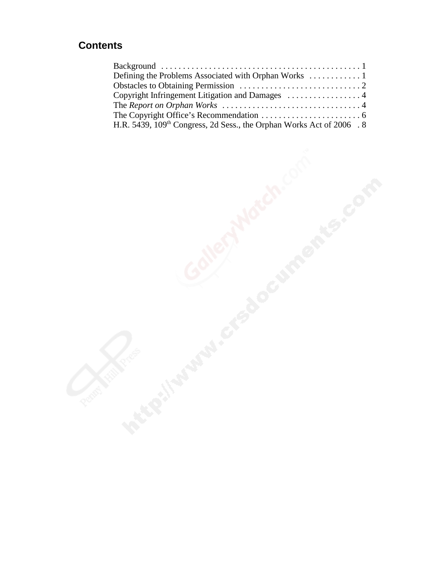## **Contents**

|  | H.R. 5439, 109 <sup>th</sup> Congress, 2d Sess., the Orphan Works Act of 2006 . 8 |  |
|--|-----------------------------------------------------------------------------------|--|
|  |                                                                                   |  |
|  |                                                                                   |  |
|  |                                                                                   |  |
|  |                                                                                   |  |
|  |                                                                                   |  |
|  |                                                                                   |  |
|  |                                                                                   |  |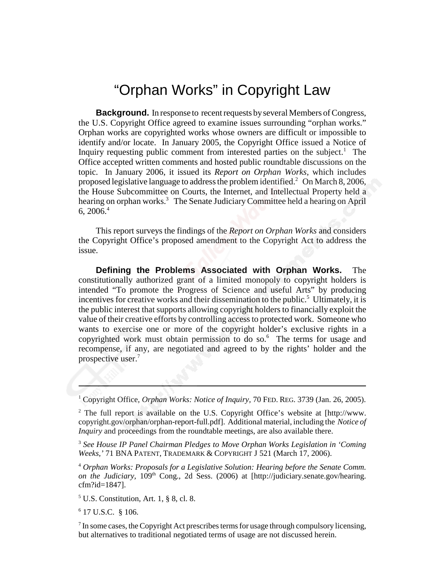# "Orphan Works" in Copyright Law

**Background.** In response to recent requests by several Members of Congress, the U.S. Copyright Office agreed to examine issues surrounding "orphan works." Orphan works are copyrighted works whose owners are difficult or impossible to identify and/or locate. In January 2005, the Copyright Office issued a Notice of Inquiry requesting public comment from interested parties on the subject.<sup>1</sup> The Office accepted written comments and hosted public roundtable discussions on the topic. In January 2006, it issued its *Report on Orphan Works*, which includes proposed legislative language to address the problem identified.<sup>2</sup> On March 8, 2006, the House Subcommittee on Courts, the Internet, and Intellectual Property held a hearing on orphan works.<sup>3</sup> The Senate Judiciary Committee held a hearing on April 6,  $2006<sup>4</sup>$ 

This report surveys the findings of the *Report on Orphan Works* and considers the Copyright Office's proposed amendment to the Copyright Act to address the issue.

**Defining the Problems Associated with Orphan Works.** The constitutionally authorized grant of a limited monopoly to copyright holders is intended "To promote the Progress of Science and useful Arts" by producing incentives for creative works and their dissemination to the public.<sup>5</sup> Ultimately, it is the public interest that supports allowing copyright holders to financially exploit the value of their creative efforts by controlling access to protected work. Someone who wants to exercise one or more of the copyright holder's exclusive rights in a copyrighted work must obtain permission to do so.<sup>6</sup> The terms for usage and recompense, if any, are negotiated and agreed to by the rights' holder and the prospective user.<sup>7</sup>

<sup>1</sup> Copyright Office, Orphan Works: Notice of Inquiry, 70 FED. REG. 3739 (Jan. 26, 2005).

<sup>2</sup> The full report is available on the U.S. Copyright Office's website at [http://www. copyright.gov/orphan/orphan-report-full.pdf]. Additional material, including the *Notice of Inquiry* and proceedings from the roundtable meetings, are also available there.

<sup>3</sup> *See House IP Panel Chairman Pledges to Move Orphan Works Legislation in 'Coming Weeks,'* 71 BNA PATENT, TRADEMARK & COPYRIGHT J 521 (March 17, 2006).

<sup>4</sup> *Orphan Works: Proposals for a Legislative Solution: Hearing before the Senate Comm. on the Judiciary, 109<sup>th</sup>* Cong., 2d Sess. (2006) at [http://judiciary.senate.gov/hearing. cfm?id=1847].

 $<sup>5</sup>$  U.S. Constitution, Art. 1, § 8, cl. 8.</sup>

6 17 U.S.C. § 106.

 $<sup>7</sup>$  In some cases, the Copyright Act prescribes terms for usage through compulsory licensing,</sup> but alternatives to traditional negotiated terms of usage are not discussed herein.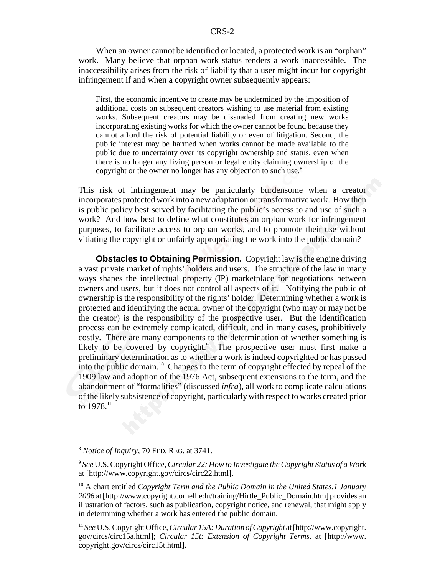### CRS-2

When an owner cannot be identified or located, a protected work is an "orphan" work. Many believe that orphan work status renders a work inaccessible. The inaccessibility arises from the risk of liability that a user might incur for copyright infringement if and when a copyright owner subsequently appears:

First, the economic incentive to create may be undermined by the imposition of additional costs on subsequent creators wishing to use material from existing works. Subsequent creators may be dissuaded from creating new works incorporating existing works for which the owner cannot be found because they cannot afford the risk of potential liability or even of litigation. Second, the public interest may be harmed when works cannot be made available to the public due to uncertainty over its copyright ownership and status, even when there is no longer any living person or legal entity claiming ownership of the copyright or the owner no longer has any objection to such use.<sup>8</sup>

This risk of infringement may be particularly burdensome when a creator incorporates protected work into a new adaptation or transformative work. How then is public policy best served by facilitating the public's access to and use of such a work? And how best to define what constitutes an orphan work for infringement purposes, to facilitate access to orphan works, and to promote their use without vitiating the copyright or unfairly appropriating the work into the public domain?

**Obstacles to Obtaining Permission.** Copyright law is the engine driving a vast private market of rights' holders and users. The structure of the law in many ways shapes the intellectual property (IP) marketplace for negotiations between owners and users, but it does not control all aspects of it. Notifying the public of ownership is the responsibility of the rights' holder. Determining whether a work is protected and identifying the actual owner of the copyright (who may or may not be the creator) is the responsibility of the prospective user. But the identification process can be extremely complicated, difficult, and in many cases, prohibitively costly. There are many components to the determination of whether something is likely to be covered by copyright.<sup>9</sup> The prospective user must first make a preliminary determination as to whether a work is indeed copyrighted or has passed into the public domain.10 Changes to the term of copyright effected by repeal of the 1909 law and adoption of the 1976 Act, subsequent extensions to the term, and the abandonment of "formalities" (discussed *infra*), all work to complicate calculations of the likely subsistence of copyright, particularly with respect to works created prior to 1978.<sup>11</sup>

<sup>8</sup> *Notice of Inquiry,* 70 FED. REG. at 3741.

<sup>9</sup> *See* U.S. Copyright Office, *Circular 22: How to Investigate the Copyright Status of a Work* at [http://www.copyright.gov/circs/circ22.html].

<sup>10</sup> A chart entitled *Copyright Term and the Public Domain in the United States,1 January 2006* at [http://www.copyright.cornell.edu/training/Hirtle\_Public\_Domain.htm] provides an illustration of factors, such as publication, copyright notice, and renewal, that might apply in determining whether a work has entered the public domain.

<sup>11</sup> *See* U.S. Copyright Office, *Circular 15A: Duration of Copyright* at [http://www.copyright. gov/circs/circ15a.html]; *Circular 15t: Extension of Copyright Terms*. at [http://www. copyright.gov/circs/circ15t.html].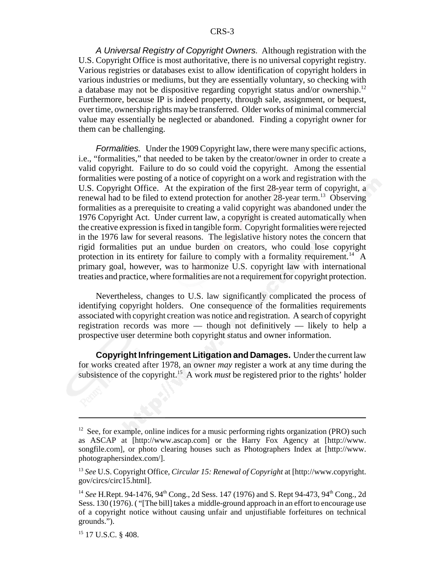*A Universal Registry of Copyright Owners.* Although registration with the U.S. Copyright Office is most authoritative, there is no universal copyright registry. Various registries or databases exist to allow identification of copyright holders in various industries or mediums, but they are essentially voluntary, so checking with a database may not be dispositive regarding copyright status and/or ownership.<sup>12</sup> Furthermore, because IP is indeed property, through sale, assignment, or bequest, over time, ownership rights may be transferred. Older works of minimal commercial value may essentially be neglected or abandoned. Finding a copyright owner for them can be challenging.

*Formalities.* Under the 1909 Copyright law, there were many specific actions, i.e., "formalities," that needed to be taken by the creator/owner in order to create a valid copyright. Failure to do so could void the copyright. Among the essential formalities were posting of a notice of copyright on a work and registration with the U.S. Copyright Office. At the expiration of the first 28-year term of copyright, a renewal had to be filed to extend protection for another 28-year term.<sup>13</sup> Observing formalities as a prerequisite to creating a valid copyright was abandoned under the 1976 Copyright Act. Under current law, a copyright is created automatically when the creative expression is fixed in tangible form. Copyright formalities were rejected in the 1976 law for several reasons. The legislative history notes the concern that rigid formalities put an undue burden on creators, who could lose copyright protection in its entirety for failure to comply with a formality requirement.<sup>14</sup> A primary goal, however, was to harmonize U.S. copyright law with international treaties and practice, where formalities are not a requirement for copyright protection.

Nevertheless, changes to U.S. law significantly complicated the process of identifying copyright holders. One consequence of the formalities requirements associated with copyright creation was notice and registration. A search of copyright registration records was more — though not definitively — likely to help a prospective user determine both copyright status and owner information.

**Copyright Infringement Litigation and Damages.** Under the current law for works created after 1978, an owner *may* register a work at any time during the subsistence of the copyright.<sup>15</sup> A work *must* be registered prior to the rights' holder

 $12$  See, for example, online indices for a music performing rights organization (PRO) such as ASCAP at [http://www.ascap.com] or the Harry Fox Agency at [http://www. songfile.com], or photo clearing houses such as Photographers Index at [http://www. photographersindex.com/].

<sup>13</sup> *See* U.S. Copyright Office, *Circular 15: Renewal of Copyright* at [http://www.copyright. gov/circs/circ15.html].

<sup>&</sup>lt;sup>14</sup> *See* H.Rept. 94-1476, 94<sup>th</sup> Cong., 2d Sess. 147 (1976) and S. Rept 94-473, 94<sup>th</sup> Cong., 2d Sess. 130 (1976). ( "[The bill] takes a middle-ground approach in an effort to encourage use of a copyright notice without causing unfair and unjustifiable forfeitures on technical grounds.").

<sup>15 17</sup> U.S.C. § 408.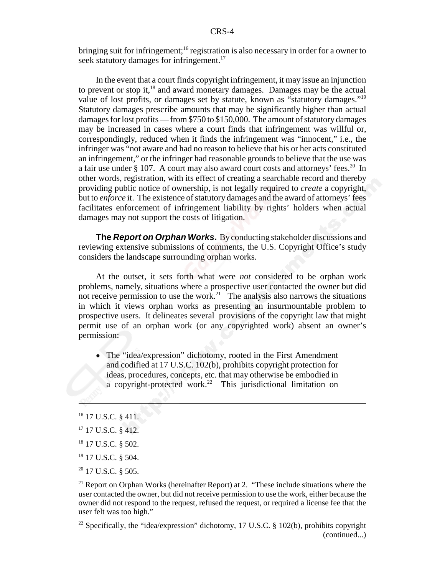bringing suit for infringement;<sup>16</sup> registration is also necessary in order for a owner to seek statutory damages for infringement.<sup>17</sup>

In the event that a court finds copyright infringement, it may issue an injunction to prevent or stop it, $^{18}$  and award monetary damages. Damages may be the actual value of lost profits, or damages set by statute, known as "statutory damages."<sup>19</sup> Statutory damages prescribe amounts that may be significantly higher than actual damages for lost profits — from \$750 to \$150,000. The amount of statutory damages may be increased in cases where a court finds that infringement was willful or, correspondingly, reduced when it finds the infringement was "innocent," i.e., the infringer was "not aware and had no reason to believe that his or her acts constituted an infringement," or the infringer had reasonable grounds to believe that the use was a fair use under  $\S 107$ . A court may also award court costs and attorneys' fees.<sup>20</sup> In other words, registration, with its effect of creating a searchable record and thereby providing public notice of ownership, is not legally required to *create* a copyright, but to *enforce* it. The existence of statutory damages and the award of attorneys' fees facilitates enforcement of infringement liability by rights' holders when actual damages may not support the costs of litigation.

**The** *Report on Orphan Works***.** By conducting stakeholder discussions and reviewing extensive submissions of comments, the U.S. Copyright Office's study considers the landscape surrounding orphan works.

At the outset, it sets forth what were *not* considered to be orphan work problems, namely, situations where a prospective user contacted the owner but did not receive permission to use the work.<sup>21</sup> The analysis also narrows the situations in which it views orphan works as presenting an insurmountable problem to prospective users. It delineates several provisions of the copyright law that might permit use of an orphan work (or any copyrighted work) absent an owner's permission:

• The "idea/expression" dichotomy, rooted in the First Amendment and codified at 17 U.S.C. 102(b), prohibits copyright protection for ideas, procedures, concepts, etc. that may otherwise be embodied in a copyright-protected work.<sup>22</sup> This jurisdictional limitation on

- <sup>19</sup> 17 U.S.C. § 504.
- <sup>20</sup> 17 U.S.C. § 505.

<sup>&</sup>lt;sup>16</sup> 17 U.S.C. § 411.

 $17$  17 U.S.C. § 412.

<sup>&</sup>lt;sup>18</sup> 17 U.S.C. § 502.

 $21$  Report on Orphan Works (hereinafter Report) at 2. "These include situations where the user contacted the owner, but did not receive permission to use the work, either because the owner did not respond to the request, refused the request, or required a license fee that the user felt was too high."

<sup>&</sup>lt;sup>22</sup> Specifically, the "idea/expression" dichotomy, 17 U.S.C. § 102(b), prohibits copyright (continued...)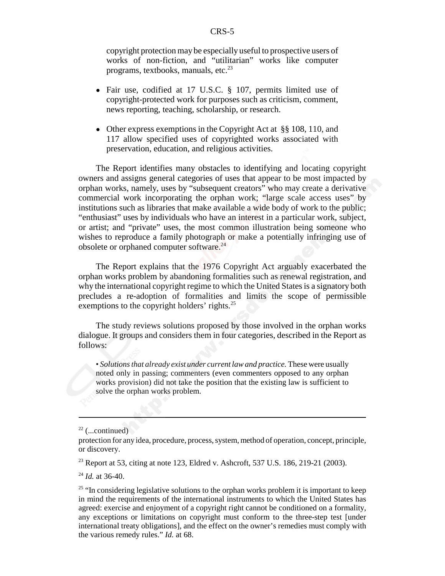copyright protection may be especially useful to prospective users of works of non-fiction, and "utilitarian" works like computer programs, textbooks, manuals, etc. $^{23}$ 

- Fair use, codified at 17 U.S.C. § 107, permits limited use of copyright-protected work for purposes such as criticism, comment, news reporting, teaching, scholarship, or research.
- Other express exemptions in the Copyright Act at §§ 108, 110, and 117 allow specified uses of copyrighted works associated with preservation, education, and religious activities.

The Report identifies many obstacles to identifying and locating copyright owners and assigns general categories of uses that appear to be most impacted by orphan works, namely, uses by "subsequent creators" who may create a derivative commercial work incorporating the orphan work; "large scale access uses" by institutions such as libraries that make available a wide body of work to the public; "enthusiast" uses by individuals who have an interest in a particular work, subject, or artist; and "private" uses, the most common illustration being someone who wishes to reproduce a family photograph or make a potentially infringing use of obsolete or orphaned computer software.<sup>24</sup>

The Report explains that the 1976 Copyright Act arguably exacerbated the orphan works problem by abandoning formalities such as renewal registration, and why the international copyright regime to which the United States is a signatory both precludes a re-adoption of formalities and limits the scope of permissible exemptions to the copyright holders' rights. $^{25}$ 

The study reviews solutions proposed by those involved in the orphan works dialogue. It groups and considers them in four categories, described in the Report as follows:

• *Solutions that already exist under current law and practice.* These were usually noted only in passing; commenters (even commenters opposed to any orphan works provision) did not take the position that the existing law is sufficient to solve the orphan works problem.

 $^{24}$  *Id.* at 36-40.

 $22$  (...continued)

protection for any idea, procedure, process, system, method of operation, concept, principle, or discovery.

<sup>&</sup>lt;sup>23</sup> Report at 53, citing at note 123, Eldred v. Ashcroft, 537 U.S. 186, 219-21 (2003).

 $25$  "In considering legislative solutions to the orphan works problem it is important to keep in mind the requirements of the international instruments to which the United States has agreed: exercise and enjoyment of a copyright right cannot be conditioned on a formality, any exceptions or limitations on copyright must conform to the three-step test [under international treaty obligations], and the effect on the owner's remedies must comply with the various remedy rules." *Id.* at 68.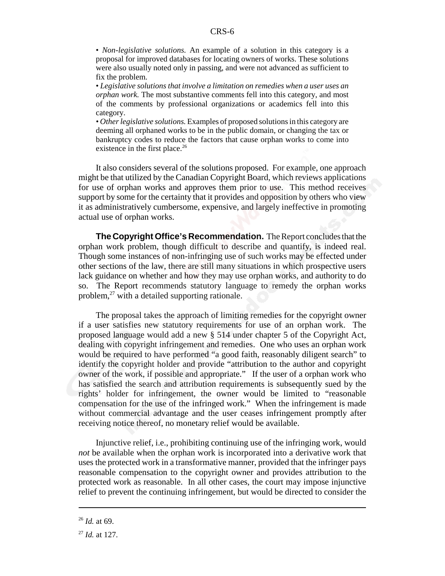• *Non-legislative solutions.* An example of a solution in this category is a proposal for improved databases for locating owners of works. These solutions were also usually noted only in passing, and were not advanced as sufficient to fix the problem.

• *Legislative solutions that involve a limitation on remedies when a user uses an orphan work.* The most substantive comments fell into this category, and most of the comments by professional organizations or academics fell into this category.

*• Other legislative solutions.* Examples of proposed solutions in this category are deeming all orphaned works to be in the public domain, or changing the tax or bankruptcy codes to reduce the factors that cause orphan works to come into existence in the first place.<sup>26</sup>

It also considers several of the solutions proposed. For example, one approach might be that utilized by the Canadian Copyright Board, which reviews applications for use of orphan works and approves them prior to use. This method receives support by some for the certainty that it provides and opposition by others who view it as administratively cumbersome, expensive, and largely ineffective in promoting actual use of orphan works.

**The Copyright Office's Recommendation.** The Report concludes that the orphan work problem, though difficult to describe and quantify, is indeed real. Though some instances of non-infringing use of such works may be effected under other sections of the law, there are still many situations in which prospective users lack guidance on whether and how they may use orphan works, and authority to do so. The Report recommends statutory language to remedy the orphan works problem,<sup>27</sup> with a detailed supporting rationale.

The proposal takes the approach of limiting remedies for the copyright owner if a user satisfies new statutory requirements for use of an orphan work. The proposed language would add a new § 514 under chapter 5 of the Copyright Act, dealing with copyright infringement and remedies. One who uses an orphan work would be required to have performed "a good faith, reasonably diligent search" to identify the copyright holder and provide "attribution to the author and copyright owner of the work, if possible and appropriate." If the user of a orphan work who has satisfied the search and attribution requirements is subsequently sued by the rights' holder for infringement, the owner would be limited to "reasonable compensation for the use of the infringed work." When the infringement is made without commercial advantage and the user ceases infringement promptly after receiving notice thereof, no monetary relief would be available.

Injunctive relief, i.e., prohibiting continuing use of the infringing work, would *not* be available when the orphan work is incorporated into a derivative work that uses the protected work in a transformative manner, provided that the infringer pays reasonable compensation to the copyright owner and provides attribution to the protected work as reasonable. In all other cases, the court may impose injunctive relief to prevent the continuing infringement, but would be directed to consider the

<sup>26</sup> *Id.* at 69.

<sup>27</sup> *Id.* at 127.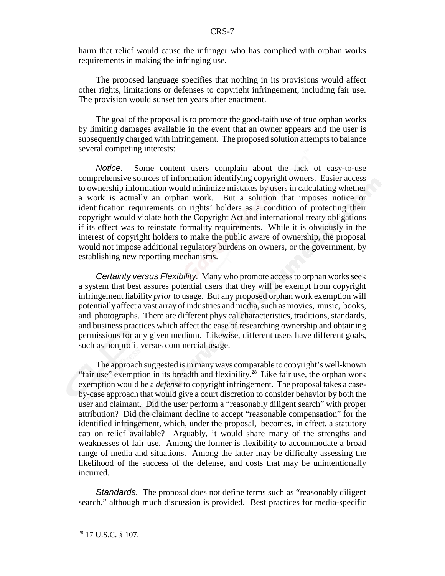harm that relief would cause the infringer who has complied with orphan works requirements in making the infringing use.

The proposed language specifies that nothing in its provisions would affect other rights, limitations or defenses to copyright infringement, including fair use. The provision would sunset ten years after enactment.

The goal of the proposal is to promote the good-faith use of true orphan works by limiting damages available in the event that an owner appears and the user is subsequently charged with infringement. The proposed solution attempts to balance several competing interests:

*Notice.* Some content users complain about the lack of easy-to-use comprehensive sources of information identifying copyright owners. Easier access to ownership information would minimize mistakes by users in calculating whether a work is actually an orphan work. But a solution that imposes notice or identification requirements on rights' holders as a condition of protecting their copyright would violate both the Copyright Act and international treaty obligations if its effect was to reinstate formality requirements. While it is obviously in the interest of copyright holders to make the public aware of ownership, the proposal would not impose additional regulatory burdens on owners, or the government, by establishing new reporting mechanisms.

*Certainty versus Flexibility.* Many who promote access to orphan works seek a system that best assures potential users that they will be exempt from copyright infringement liability *prior* to usage. But any proposed orphan work exemption will potentially affect a vast array of industries and media, such as movies, music, books, and photographs. There are different physical characteristics, traditions, standards, and business practices which affect the ease of researching ownership and obtaining permissions for any given medium. Likewise, different users have different goals, such as nonprofit versus commercial usage.

The approach suggested is in many ways comparable to copyright's well-known "fair use" exemption in its breadth and flexibility.<sup>28</sup> Like fair use, the orphan work exemption would be a *defense* to copyright infringement. The proposal takes a caseby-case approach that would give a court discretion to consider behavior by both the user and claimant. Did the user perform a "reasonably diligent search" with proper attribution? Did the claimant decline to accept "reasonable compensation" for the identified infringement, which, under the proposal, becomes, in effect, a statutory cap on relief available? Arguably, it would share many of the strengths and weaknesses of fair use. Among the former is flexibility to accommodate a broad range of media and situations. Among the latter may be difficulty assessing the likelihood of the success of the defense, and costs that may be unintentionally incurred.

*Standards.* The proposal does not define terms such as "reasonably diligent search," although much discussion is provided. Best practices for media-specific

 $28$  17 U.S.C. § 107.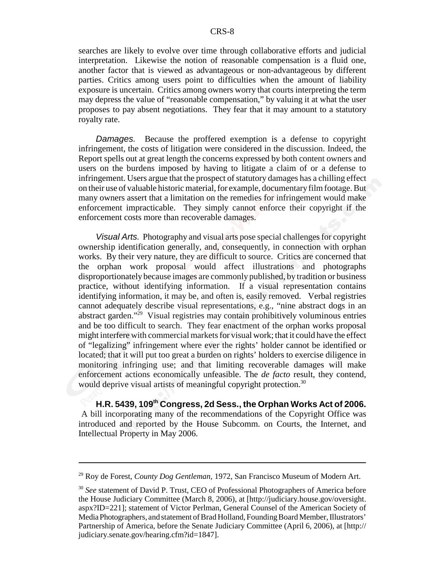searches are likely to evolve over time through collaborative efforts and judicial interpretation. Likewise the notion of reasonable compensation is a fluid one, another factor that is viewed as advantageous or non-advantageous by different parties. Critics among users point to difficulties when the amount of liability exposure is uncertain. Critics among owners worry that courts interpreting the term may depress the value of "reasonable compensation," by valuing it at what the user proposes to pay absent negotiations. They fear that it may amount to a statutory royalty rate.

*Damages.* Because the proffered exemption is a defense to copyright infringement, the costs of litigation were considered in the discussion. Indeed, the Report spells out at great length the concerns expressed by both content owners and users on the burdens imposed by having to litigate a claim of or a defense to infringement. Users argue that the prospect of statutory damages has a chilling effect on their use of valuable historic material, for example, documentary film footage. But many owners assert that a limitation on the remedies for infringement would make enforcement impracticable. They simply cannot enforce their copyright if the enforcement costs more than recoverable damages.

*Visual Arts.* Photography and visual arts pose special challenges for copyright ownership identification generally, and, consequently, in connection with orphan works. By their very nature, they are difficult to source. Critics are concerned that the orphan work proposal would affect illustrations and photographs disproportionately because images are commonly published, by tradition or business practice, without identifying information. If a visual representation contains identifying information, it may be, and often is, easily removed. Verbal registries cannot adequately describe visual representations, e.g., "nine abstract dogs in an abstract garden."29 Visual registries may contain prohibitively voluminous entries and be too difficult to search. They fear enactment of the orphan works proposal might interfere with commercial markets for visual work; that it could have the effect of "legalizing" infringement where ever the rights' holder cannot be identified or located; that it will put too great a burden on rights' holders to exercise diligence in monitoring infringing use; and that limiting recoverable damages will make enforcement actions economically unfeasible. The *de facto* result, they contend, would deprive visual artists of meaningful copyright protection.<sup>30</sup>

**H.R. 5439, 109th Congress, 2d Sess., the Orphan Works Act of 2006.** A bill incorporating many of the recommendations of the Copyright Office was introduced and reported by the House Subcomm. on Courts, the Internet, and Intellectual Property in May 2006.

<sup>29</sup> Roy de Forest, *County Dog Gentleman,* 1972, San Francisco Museum of Modern Art.

<sup>30</sup> *See* statement of David P. Trust, CEO of Professional Photographers of America before the House Judiciary Committee (March 8, 2006), at [http://judiciary.house.gov/oversight. aspx?ID=221]; statement of Victor Perlman, General Counsel of the American Society of Media Photographers, and statement of Brad Holland, Founding Board Member, Illustrators' Partnership of America, before the Senate Judiciary Committee (April 6, 2006), at [http:// judiciary.senate.gov/hearing.cfm?id=1847].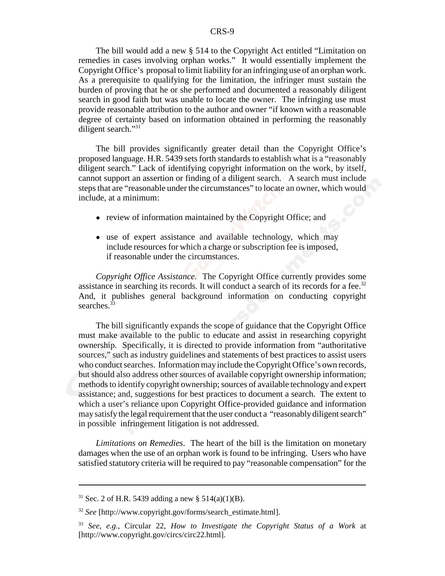The bill would add a new § 514 to the Copyright Act entitled "Limitation on remedies in cases involving orphan works." It would essentially implement the Copyright Office's proposal to limit liability for an infringing use of an orphan work. As a prerequisite to qualifying for the limitation, the infringer must sustain the burden of proving that he or she performed and documented a reasonably diligent search in good faith but was unable to locate the owner. The infringing use must provide reasonable attribution to the author and owner "if known with a reasonable degree of certainty based on information obtained in performing the reasonably diligent search."<sup>31</sup>

The bill provides significantly greater detail than the Copyright Office's proposed language. H.R. 5439 sets forth standards to establish what is a "reasonably diligent search." Lack of identifying copyright information on the work, by itself, cannot support an assertion or finding of a diligent search. A search must include steps that are "reasonable under the circumstances" to locate an owner, which would include, at a minimum:

- review of information maintained by the Copyright Office; and
- use of expert assistance and available technology, which may include resources for which a charge or subscription fee is imposed, if reasonable under the circumstances.

*Copyright Office Assistance*. The Copyright Office currently provides some assistance in searching its records. It will conduct a search of its records for a fee.<sup>32</sup> And, it publishes general background information on conducting copyright searches  $33$ 

The bill significantly expands the scope of guidance that the Copyright Office must make available to the public to educate and assist in researching copyright ownership. Specifically, it is directed to provide information from "authoritative sources," such as industry guidelines and statements of best practices to assist users who conduct searches. Information may include the Copyright Office's own records, but should also address other sources of available copyright ownership information; methods to identify copyright ownership; sources of available technology and expert assistance; and, suggestions for best practices to document a search. The extent to which a user's reliance upon Copyright Office-provided guidance and information may satisfy the legal requirement that the user conduct a "reasonably diligent search" in possible infringement litigation is not addressed.

*Limitations on Remedies*. The heart of the bill is the limitation on monetary damages when the use of an orphan work is found to be infringing. Users who have satisfied statutory criteria will be required to pay "reasonable compensation" for the

<sup>&</sup>lt;sup>31</sup> Sec. 2 of H.R. 5439 adding a new § 514(a)(1)(B).

<sup>32</sup> *See* [http://www.copyright.gov/forms/search\_estimate.html].

<sup>33</sup> *See*, *e.g.*, Circular 22, *How to Investigate the Copyright Status of a Work* at [http://www.copyright.gov/circs/circ22.html].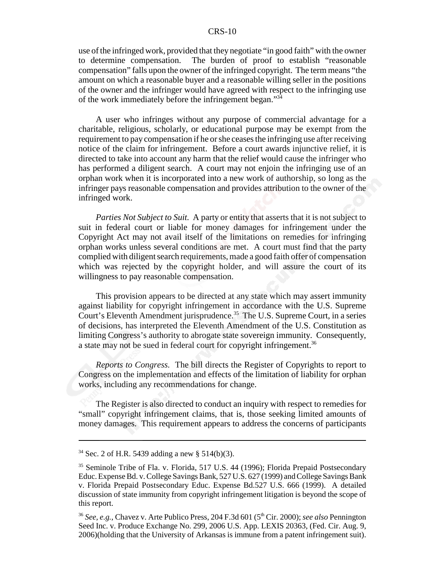### CRS-10

use of the infringed work, provided that they negotiate "in good faith" with the owner to determine compensation. The burden of proof to establish "reasonable compensation" falls upon the owner of the infringed copyright. The term means "the amount on which a reasonable buyer and a reasonable willing seller in the positions of the owner and the infringer would have agreed with respect to the infringing use of the work immediately before the infringement began."<sup>34</sup>

A user who infringes without any purpose of commercial advantage for a charitable, religious, scholarly, or educational purpose may be exempt from the requirement to pay compensation if he or she ceases the infringing use after receiving notice of the claim for infringement. Before a court awards injunctive relief, it is directed to take into account any harm that the relief would cause the infringer who has performed a diligent search. A court may not enjoin the infringing use of an orphan work when it is incorporated into a new work of authorship, so long as the infringer pays reasonable compensation and provides attribution to the owner of the infringed work.

*Parties Not Subject to Suit.* A party or entity that asserts that it is not subject to suit in federal court or liable for money damages for infringement under the Copyright Act may not avail itself of the limitations on remedies for infringing orphan works unless several conditions are met. A court must find that the party complied with diligent search requirements, made a good faith offer of compensation which was rejected by the copyright holder, and will assure the court of its willingness to pay reasonable compensation.

This provision appears to be directed at any state which may assert immunity against liability for copyright infringement in accordance with the U.S. Supreme Court's Eleventh Amendment jurisprudence.<sup>35</sup> The U.S. Supreme Court, in a series of decisions, has interpreted the Eleventh Amendment of the U.S. Constitution as limiting Congress's authority to abrogate state sovereign immunity. Consequently, a state may not be sued in federal court for copyright infringement.<sup>36</sup>

*Reports to Congress.* The bill directs the Register of Copyrights to report to Congress on the implementation and effects of the limitation of liability for orphan works, including any recommendations for change.

The Register is also directed to conduct an inquiry with respect to remedies for "small" copyright infringement claims, that is, those seeking limited amounts of money damages. This requirement appears to address the concerns of participants

 $34$  Sec. 2 of H.R. 5439 adding a new § 514(b)(3).

<sup>&</sup>lt;sup>35</sup> Seminole Tribe of Fla. v. Florida, 517 U.S. 44 (1996); Florida Prepaid Postsecondary Educ. Expense Bd. v. College Savings Bank, 527 U.S. 627 (1999) and College Savings Bank v. Florida Prepaid Postsecondary Educ. Expense Bd.527 U.S. 666 (1999). A detailed discussion of state immunity from copyright infringement litigation is beyond the scope of this report.

<sup>&</sup>lt;sup>36</sup> See, e.g., Chavez v. Arte Publico Press, 204 F.3d 601 (5<sup>th</sup> Cir. 2000); *see also* Pennington Seed Inc. v. Produce Exchange No. 299, 2006 U.S. App. LEXIS 20363, (Fed. Cir. Aug. 9, 2006)(holding that the University of Arkansas is immune from a patent infringement suit).